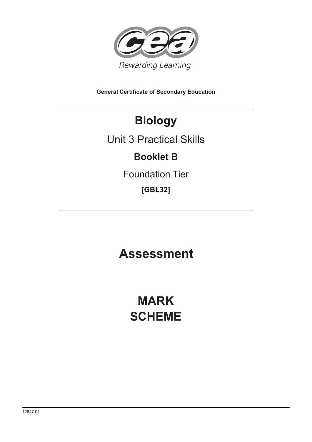

**General Certificate of Secondary Education**

## **Biology**

### Unit 3 Practical Skills

### **Booklet B**

Foundation Tier

**[GBL32]**

## **Assessment**

# **MARK SCHEME**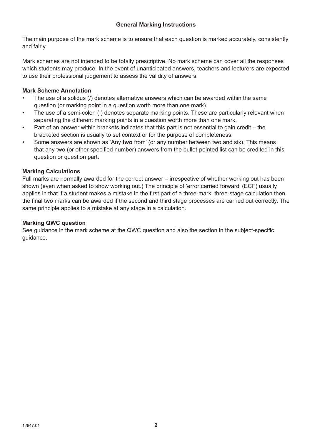The main purpose of the mark scheme is to ensure that each question is marked accurately, consistently and fairly.

Mark schemes are not intended to be totally prescriptive. No mark scheme can cover all the responses which students may produce. In the event of unanticipated answers, teachers and lecturers are expected to use their professional judgement to assess the validity of answers.

### **Mark Scheme Annotation**

- The use of a solidus (/) denotes alternative answers which can be awarded within the same question (or marking point in a question worth more than one mark).
- The use of a semi-colon (;) denotes separate marking points. These are particularly relevant when separating the different marking points in a question worth more than one mark.
- Part of an answer within brackets indicates that this part is not essential to gain credit the bracketed section is usually to set context or for the purpose of completeness.
- Some answers are shown as 'Any **two** from' (or any number between two and six). This means that any two (or other specified number) answers from the bullet-pointed list can be credited in this question or question part.

### **Marking Calculations**

Full marks are normally awarded for the correct answer – irrespective of whether working out has been shown (even when asked to show working out.) The principle of 'error carried forward' (ECF) usually applies in that if a student makes a mistake in the first part of a three-mark, three-stage calculation then the final two marks can be awarded if the second and third stage processes are carried out correctly. The same principle applies to a mistake at any stage in a calculation.

### **Marking QWC question**

See guidance in the mark scheme at the QWC question and also the section in the subject-specific guidance.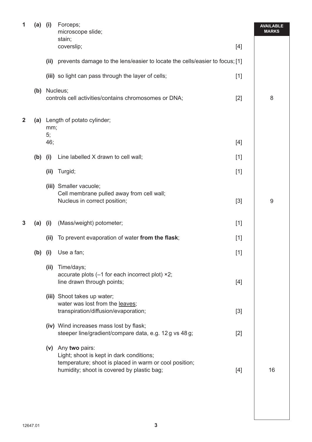| 1 | $(a)$ (i) |           | Forceps;<br>microscope slide;<br>stain;                                                                                                                                |       | <b>AVAILABLE</b><br><b>MARKS</b> |
|---|-----------|-----------|------------------------------------------------------------------------------------------------------------------------------------------------------------------------|-------|----------------------------------|
|   |           |           | coverslip;                                                                                                                                                             | [4]   |                                  |
|   |           | (ii)      | prevents damage to the lens/easier to locate the cells/easier to focus; [1]                                                                                            |       |                                  |
|   |           |           | (iii) so light can pass through the layer of cells;                                                                                                                    | $[1]$ |                                  |
|   |           |           | (b) Nucleus;<br>controls cell activities/contains chromosomes or DNA;                                                                                                  | $[2]$ | 8                                |
| 2 |           | mm;<br>5; | (a) Length of potato cylinder;                                                                                                                                         |       |                                  |
|   |           | 46;       |                                                                                                                                                                        | $[4]$ |                                  |
|   | (b)       | (i)       | Line labelled X drawn to cell wall;                                                                                                                                    | $[1]$ |                                  |
|   |           | (ii)      | Turgid;                                                                                                                                                                | $[1]$ |                                  |
|   |           |           | (iii) Smaller vacuole;<br>Cell membrane pulled away from cell wall;<br>Nucleus in correct position;                                                                    | $[3]$ | 9                                |
| 3 | $(a)$ (i) |           | (Mass/weight) potometer;                                                                                                                                               | $[1]$ |                                  |
|   |           | (ii)      | To prevent evaporation of water from the flask;                                                                                                                        | $[1]$ |                                  |
|   | $(b)$ (i) |           | Use a fan;                                                                                                                                                             | $[1]$ |                                  |
|   |           | (ii)      | Time/days;<br>accurate plots (-1 for each incorrect plot) ×2;<br>line drawn through points;                                                                            | $[4]$ |                                  |
|   |           |           | (iii) Shoot takes up water;<br>water was lost from the leaves;<br>transpiration/diffusion/evaporation;                                                                 | $[3]$ |                                  |
|   |           |           | (iv) Wind increases mass lost by flask;<br>steeper line/gradient/compare data, e.g. 12g vs 48g;                                                                        | $[2]$ |                                  |
|   |           |           | (v) Any two pairs:<br>Light; shoot is kept in dark conditions;<br>temperature; shoot is placed in warm or cool position;<br>humidity; shoot is covered by plastic bag; | $[4]$ | 16                               |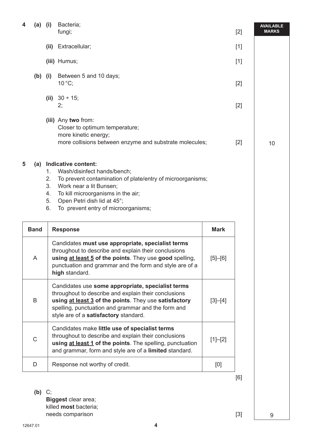| 4 | (a)         | (i)                              | Bacteria;<br>fungi;                                                                                                                                                                                                                                               |             | $[2]$ | <b>AVAILABLE</b><br><b>MARKS</b> |
|---|-------------|----------------------------------|-------------------------------------------------------------------------------------------------------------------------------------------------------------------------------------------------------------------------------------------------------------------|-------------|-------|----------------------------------|
|   |             | (ii)                             | Extracellular;                                                                                                                                                                                                                                                    |             | $[1]$ |                                  |
|   |             |                                  | (iii) Humus;                                                                                                                                                                                                                                                      |             | $[1]$ |                                  |
|   | $(b)$ (i)   |                                  | Between 5 and 10 days;<br>$10^{\circ}$ C;                                                                                                                                                                                                                         |             | $[2]$ |                                  |
|   |             |                                  | (ii) $30 \div 15$ ;<br>2;                                                                                                                                                                                                                                         |             | $[2]$ |                                  |
|   |             |                                  | (iii) Any two from:<br>Closer to optimum temperature;<br>more kinetic energy;<br>more collisions between enzyme and substrate molecules;                                                                                                                          |             | $[2]$ | 10                               |
| 5 | (a)         | 1.<br>2.<br>3.<br>4.<br>5.<br>6. | Indicative content:<br>Wash/disinfect hands/bench;<br>To prevent contamination of plate/entry of microorganisms;<br>Work near a lit Bunsen;<br>To kill microorganisms in the air;<br>Open Petri dish lid at 45°;<br>To prevent entry of microorganisms;           |             |       |                                  |
|   | <b>Band</b> |                                  | <b>Response</b>                                                                                                                                                                                                                                                   | <b>Mark</b> |       |                                  |
|   | A           |                                  | Candidates must use appropriate, specialist terms<br>throughout to describe and explain their conclusions<br>using at least 5 of the points. They use good spelling,<br>punctuation and grammar and the form and style are of a<br>high standard.                 | $[5] - [6]$ |       |                                  |
|   | B           |                                  | Candidates use some appropriate, specialist terms<br>throughout to describe and explain their conclusions<br>using at least 3 of the points. They use satisfactory<br>spelling, punctuation and grammar and the form and<br>style are of a satisfactory standard. | $[3]-[4]$   |       |                                  |
|   |             |                                  | Candidates make little use of specialist terms                                                                                                                                                                                                                    |             |       |                                  |
|   | C           |                                  | throughout to describe and explain their conclusions<br>using at least 1 of the points. The spelling, punctuation<br>and grammar, form and style are of a limited standard.                                                                                       | $[1]-[2]$   |       |                                  |
|   | D           |                                  | Response not worthy of credit.                                                                                                                                                                                                                                    | [0]         |       |                                  |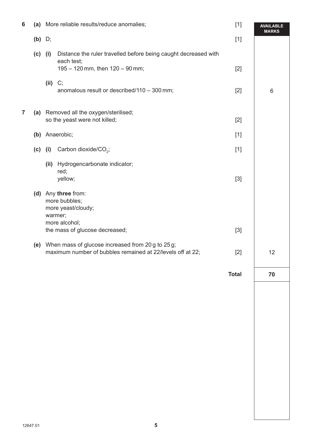| $6\phantom{1}6$ |           | (a) More reliable results/reduce anomalies;                                                                              |                                                                                                                 | $[1]$        | <b>AVAILABLE</b><br><b>MARKS</b> |
|-----------------|-----------|--------------------------------------------------------------------------------------------------------------------------|-----------------------------------------------------------------------------------------------------------------|--------------|----------------------------------|
|                 | $(b)$ D;  |                                                                                                                          |                                                                                                                 | $[1]$        |                                  |
|                 | (c)       | (i)                                                                                                                      | Distance the ruler travelled before being caught decreased with<br>each test;                                   |              |                                  |
|                 |           |                                                                                                                          | 195 - 120 mm, then 120 - 90 mm;                                                                                 | $[2]$        |                                  |
|                 |           | $(ii)$ C;                                                                                                                | anomalous result or described/110 - 300 mm;                                                                     | $[2]$        | $6\,$                            |
| $\overline{7}$  | (a)       |                                                                                                                          | Removed all the oxygen/sterilised;<br>so the yeast were not killed;                                             | $[2]$        |                                  |
|                 |           |                                                                                                                          | (b) Anaerobic;                                                                                                  | $[1]$        |                                  |
|                 | $(c)$ (i) |                                                                                                                          | Carbon dioxide/ $CO2$ ;                                                                                         | $[1]$        |                                  |
|                 |           | (ii)                                                                                                                     | Hydrogencarbonate indicator;                                                                                    |              |                                  |
|                 |           |                                                                                                                          | red;<br>yellow;                                                                                                 | $[3]$        |                                  |
|                 |           | (d) Any three from:<br>more bubbles;<br>more yeast/cloudy;<br>warmer;<br>more alcohol;<br>the mass of glucose decreased; |                                                                                                                 |              |                                  |
|                 |           |                                                                                                                          |                                                                                                                 | $[3]$        |                                  |
|                 | (e)       |                                                                                                                          | When mass of glucose increased from 20 g to 25 g;<br>maximum number of bubbles remained at 22/levels off at 22; | $[2]$        | 12                               |
|                 |           |                                                                                                                          |                                                                                                                 | <b>Total</b> | 70                               |
|                 |           |                                                                                                                          |                                                                                                                 |              |                                  |
|                 |           |                                                                                                                          |                                                                                                                 |              |                                  |
|                 |           |                                                                                                                          |                                                                                                                 |              |                                  |
|                 |           |                                                                                                                          |                                                                                                                 |              |                                  |
|                 |           |                                                                                                                          |                                                                                                                 |              |                                  |
|                 |           |                                                                                                                          |                                                                                                                 |              |                                  |
|                 |           |                                                                                                                          |                                                                                                                 |              |                                  |
|                 |           |                                                                                                                          |                                                                                                                 |              |                                  |
|                 |           |                                                                                                                          |                                                                                                                 |              |                                  |